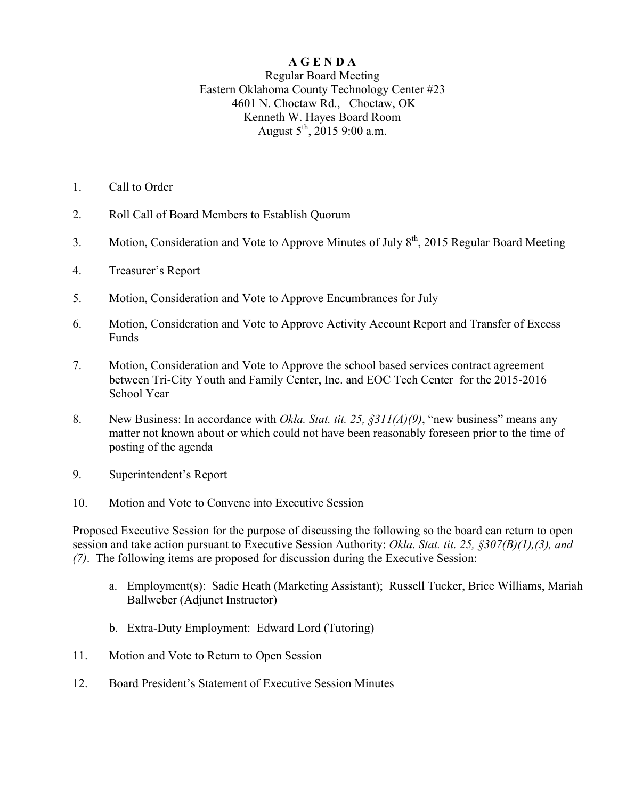## **A G E N D A**

## Regular Board Meeting Eastern Oklahoma County Technology Center #23 4601 N. Choctaw Rd., Choctaw, OK Kenneth W. Hayes Board Room August  $5^{th}$ , 2015 9:00 a.m.

- 1. Call to Order
- 2. Roll Call of Board Members to Establish Quorum
- 3. Motion, Consideration and Vote to Approve Minutes of July  $8<sup>th</sup>$ , 2015 Regular Board Meeting
- 4. Treasurer's Report
- 5. Motion, Consideration and Vote to Approve Encumbrances for July
- 6. Motion, Consideration and Vote to Approve Activity Account Report and Transfer of Excess Funds
- 7. Motion, Consideration and Vote to Approve the school based services contract agreement between Tri-City Youth and Family Center, Inc. and EOC Tech Center for the 2015-2016 School Year
- 8. New Business: In accordance with *Okla. Stat. tit. 25, §311(A)(9)*, "new business" means any matter not known about or which could not have been reasonably foreseen prior to the time of posting of the agenda
- 9. Superintendent's Report
- 10. Motion and Vote to Convene into Executive Session

Proposed Executive Session for the purpose of discussing the following so the board can return to open session and take action pursuant to Executive Session Authority: *Okla. Stat. tit. 25, §307(B)(1),(3), and (7)*. The following items are proposed for discussion during the Executive Session:

- a. Employment(s): Sadie Heath (Marketing Assistant); Russell Tucker, Brice Williams, Mariah Ballweber (Adjunct Instructor)
- b. Extra-Duty Employment: Edward Lord (Tutoring)
- 11. Motion and Vote to Return to Open Session
- 12. Board President's Statement of Executive Session Minutes